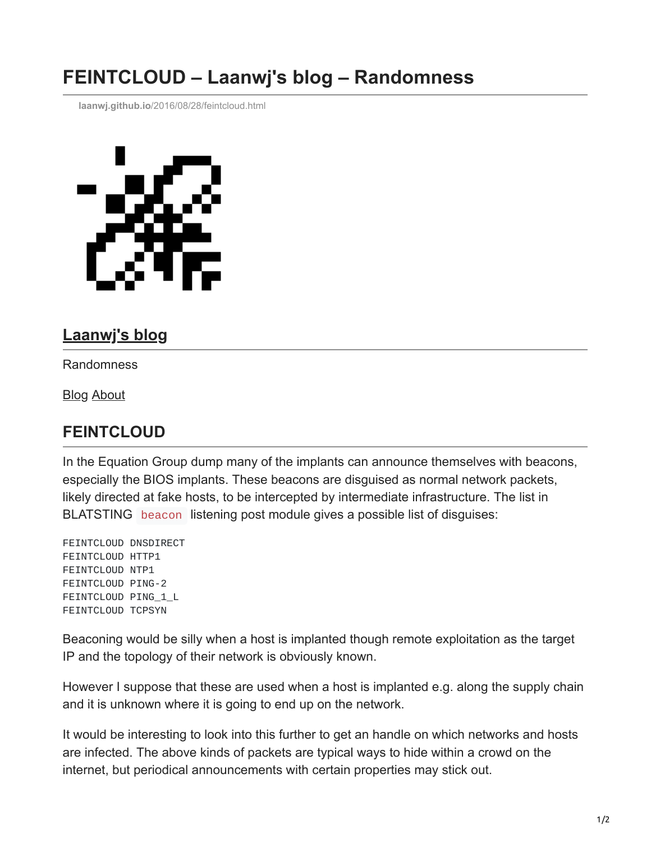## **FEINTCLOUD – Laanwj's blog – Randomness**

**laanwj.github.io**[/2016/08/28/feintcloud.html](https://laanwj.github.io/2016/08/28/feintcloud.html)



## **[Laanwj's blog](https://laanwj.github.io/)**

Randomness

[Blog](https://laanwj.github.io/) [About](https://laanwj.github.io/about)

## **FEINTCLOUD**

In the Equation Group dump many of the implants can announce themselves with beacons, especially the BIOS implants. These beacons are disguised as normal network packets, likely directed at fake hosts, to be intercepted by intermediate infrastructure. The list in BLATSTING beacon listening post module gives a possible list of disguises:

FEINTCLOUD DNSDIRECT FEINTCLOUD HTTP1 FEINTCLOUD NTP1 FEINTCLOUD PING-2 FEINTCLOUD PING\_1\_L FEINTCLOUD TCPSYN

Beaconing would be silly when a host is implanted though remote exploitation as the target IP and the topology of their network is obviously known.

However I suppose that these are used when a host is implanted e.g. along the supply chain and it is unknown where it is going to end up on the network.

It would be interesting to look into this further to get an handle on which networks and hosts are infected. The above kinds of packets are typical ways to hide within a crowd on the internet, but periodical announcements with certain properties may stick out.